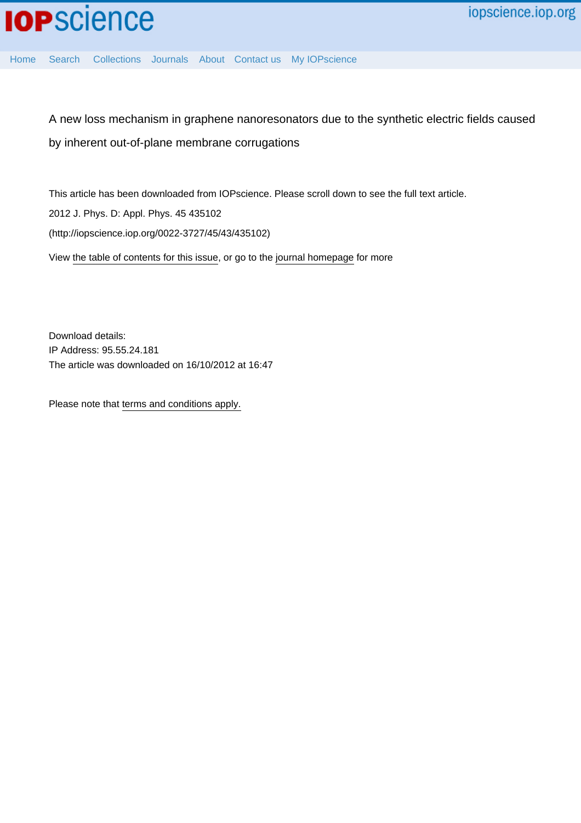[Home](http://iopscience.iop.org/) [Search](http://iopscience.iop.org/search) [Collections](http://iopscience.iop.org/collections) [Journals](http://iopscience.iop.org/journals) [About](http://iopscience.iop.org/page/aboutioppublishing) [Contact us](http://iopscience.iop.org/contact) [My IOPscience](http://iopscience.iop.org/myiopscience)

A new loss mechanism in graphene nanoresonators due to the synthetic electric fields caused by inherent out-of-plane membrane corrugations

This article has been downloaded from IOPscience. Please scroll down to see the full text article. 2012 J. Phys. D: Appl. Phys. 45 435102 (http://iopscience.iop.org/0022-3727/45/43/435102) View [the table of contents for this issue](http://iopscience.iop.org/0022-3727/45/43), or go to the [journal homepage](http://iopscience.iop.org/0022-3727) for more

Download details: IP Address: 95.55.24.181 The article was downloaded on 16/10/2012 at 16:47

Please note that [terms and conditions apply.](http://iopscience.iop.org/page/terms)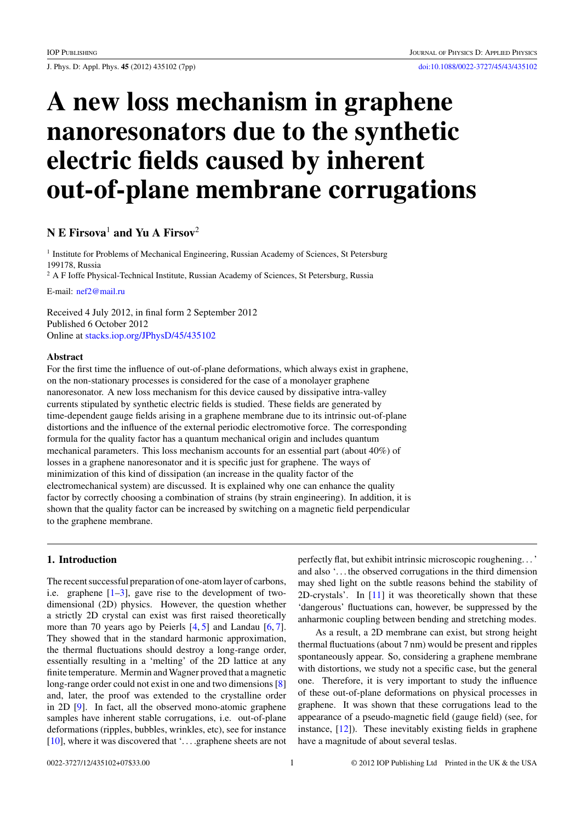<span id="page-1-0"></span>J. Phys. D: Appl. Phys. **45** (2012) 435102 (7pp) [doi:10.1088/0022-3727/45/43/435102](http://dx.doi.org/10.1088/0022-3727/45/43/435102)

# **A new loss mechanism in graphene nanoresonators due to the synthetic electric fields caused by inherent out-of-plane membrane corrugations**

# **N E Firsova**<sup>1</sup> **and Yu A Firsov**<sup>2</sup>

<sup>1</sup> Institute for Problems of Mechanical Engineering, Russian Academy of Sciences, St Petersburg 199178, Russia

<sup>2</sup> A F Ioffe Physical-Technical Institute, Russian Academy of Sciences, St Petersburg, Russia

E-mail: [nef2@mail.ru](mailto: nef2@mail.ru)

Received 4 July 2012, in final form 2 September 2012 Published 6 October 2012 Online at [stacks.iop.org/JPhysD/45/435102](http://stacks.iop.org/JPhysD/45/435102)

#### **Abstract**

For the first time the influence of out-of-plane deformations, which always exist in graphene, on the non-stationary processes is considered for the case of a monolayer graphene nanoresonator. A new loss mechanism for this device caused by dissipative intra-valley currents stipulated by synthetic electric fields is studied. These fields are generated by time-dependent gauge fields arising in a graphene membrane due to its intrinsic out-of-plane distortions and the influence of the external periodic electromotive force. The corresponding formula for the quality factor has a quantum mechanical origin and includes quantum mechanical parameters. This loss mechanism accounts for an essential part (about 40%) of losses in a graphene nanoresonator and it is specific just for graphene. The ways of minimization of this kind of dissipation (an increase in the quality factor of the electromechanical system) are discussed. It is explained why one can enhance the quality factor by correctly choosing a combination of strains (by strain engineering). In addition, it is shown that the quality factor can be increased by switching on a magnetic field perpendicular to the graphene membrane.

#### **1. Introduction**

The recent successful preparation of one-atom layer of carbons, i.e. graphene  $[1-3]$ , gave rise to the development of twodimensional (2D) physics. However, the question whether a strictly 2D crystal can exist was first raised theoretically more than 70 years ago by Peierls [\[4,](#page-6-0) [5\]](#page-6-0) and Landau [\[6,](#page-6-0) [7\]](#page-6-0). They showed that in the standard harmonic approximation, the thermal fluctuations should destroy a long-range order, essentially resulting in a 'melting' of the 2D lattice at any finite temperature. Mermin and Wagner proved that a magnetic long-range order could not exist in one and two dimensions [\[8\]](#page-6-0) and, later, the proof was extended to the crystalline order in 2D [\[9\]](#page-6-0). In fact, all the observed mono-atomic graphene samples have inherent stable corrugations, i.e. out-of-plane deformations (ripples, bubbles, wrinkles, etc), see for instance [\[10\]](#page-6-0), where it was discovered that '... .graphene sheets are not perfectly flat, but exhibit intrinsic microscopic roughening...' and also '. . . the observed corrugations in the third dimension may shed light on the subtle reasons behind the stability of 2D-crystals'. In [\[11\]](#page-6-0) it was theoretically shown that these 'dangerous' fluctuations can, however, be suppressed by the anharmonic coupling between bending and stretching modes.

As a result, a 2D membrane can exist, but strong height thermal fluctuations (about 7 nm) would be present and ripples spontaneously appear. So, considering a graphene membrane with distortions, we study not a specific case, but the general one. Therefore, it is very important to study the influence of these out-of-plane deformations on physical processes in graphene. It was shown that these corrugations lead to the appearance of a pseudo-magnetic field (gauge field) (see, for instance, [\[12\]](#page-6-0)). These inevitably existing fields in graphene have a magnitude of about several teslas.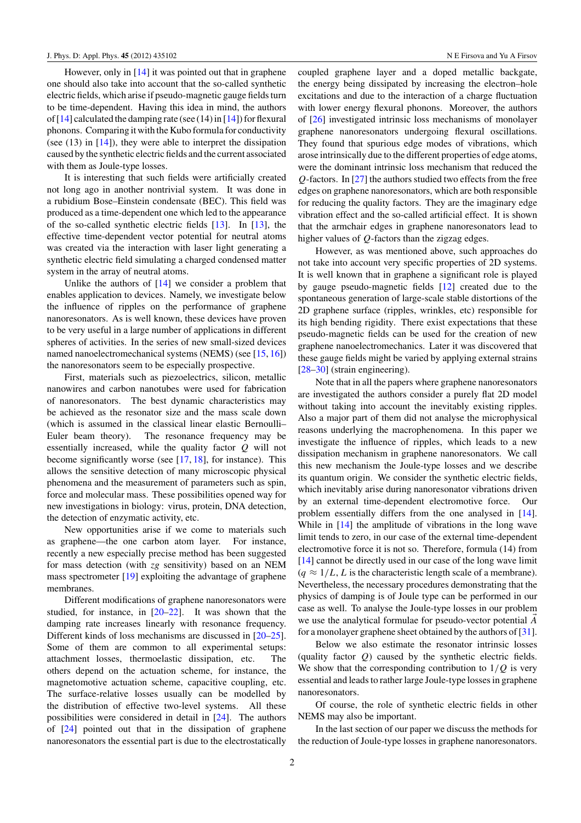However, only in [\[14\]](#page-6-0) it was pointed out that in graphene one should also take into account that the so-called synthetic electric fields, which arise if pseudo-magnetic gauge fields turn to be time-dependent. Having this idea in mind, the authors of [\[14\]](#page-6-0) calculated the damping rate (see (14) in [\[14\]](#page-6-0)) for flexural phonons. Comparing it with the Kubo formula for conductivity (see  $(13)$  in  $[14]$ ), they were able to interpret the dissipation caused by the synthetic electric fields and the current associated with them as Joule-type losses.

It is interesting that such fields were artificially created not long ago in another nontrivial system. It was done in a rubidium Bose–Einstein condensate (BEC). This field was produced as a time-dependent one which led to the appearance of the so-called synthetic electric fields [\[13\]](#page-6-0). In [\[13\]](#page-6-0), the effective time-dependent vector potential for neutral atoms was created via the interaction with laser light generating a synthetic electric field simulating a charged condensed matter system in the array of neutral atoms.

Unlike the authors of  $[14]$  we consider a problem that enables application to devices. Namely, we investigate below the influence of ripples on the performance of graphene nanoresonators. As is well known, these devices have proven to be very useful in a large number of applications in different spheres of activities. In the series of new small-sized devices named nanoelectromechanical systems (NEMS) (see [\[15,](#page-6-0) [16\]](#page-6-0)) the nanoresonators seem to be especially prospective.

First, materials such as piezoelectrics, silicon, metallic nanowires and carbon nanotubes were used for fabrication of nanoresonators. The best dynamic characteristics may be achieved as the resonator size and the mass scale down (which is assumed in the classical linear elastic Bernoulli– Euler beam theory). The resonance frequency may be essentially increased, while the quality factor *Q* will not become significantly worse (see [\[17,](#page-6-0) [18\]](#page-6-0), for instance). This allows the sensitive detection of many microscopic physical phenomena and the measurement of parameters such as spin, force and molecular mass. These possibilities opened way for new investigations in biology: virus, protein, DNA detection, the detection of enzymatic activity, etc.

New opportunities arise if we come to materials such as graphene—the one carbon atom layer. For instance, recently a new especially precise method has been suggested for mass detection (with *zg* sensitivity) based on an NEM mass spectrometer [\[19\]](#page-6-0) exploiting the advantage of graphene membranes.

Different modifications of graphene nanoresonators were studied, for instance, in [\[20–22\]](#page-6-0). It was shown that the damping rate increases linearly with resonance frequency. Different kinds of loss mechanisms are discussed in [\[20–25\]](#page-6-0). Some of them are common to all experimental setups: attachment losses, thermoelastic dissipation, etc. The others depend on the actuation scheme, for instance, the magnetomotive actuation scheme, capacitive coupling, etc. The surface-relative losses usually can be modelled by the distribution of effective two-level systems. All these possibilities were considered in detail in [\[24\]](#page-6-0). The authors of [\[24\]](#page-6-0) pointed out that in the dissipation of graphene nanoresonators the essential part is due to the electrostatically

coupled graphene layer and a doped metallic backgate, the energy being dissipated by increasing the electron–hole excitations and due to the interaction of a charge fluctuation with lower energy flexural phonons. Moreover, the authors of [\[26\]](#page-6-0) investigated intrinsic loss mechanisms of monolayer graphene nanoresonators undergoing flexural oscillations. They found that spurious edge modes of vibrations, which arose intrinsically due to the different properties of edge atoms, were the dominant intrinsic loss mechanism that reduced the *Q*-factors. In [\[27\]](#page-6-0) the authors studied two effects from the free edges on graphene nanoresonators, which are both responsible for reducing the quality factors. They are the imaginary edge vibration effect and the so-called artificial effect. It is shown that the armchair edges in graphene nanoresonators lead to higher values of *Q*-factors than the zigzag edges.

However, as was mentioned above, such approaches do not take into account very specific properties of 2D systems. It is well known that in graphene a significant role is played by gauge pseudo-magnetic fields [\[12\]](#page-6-0) created due to the spontaneous generation of large-scale stable distortions of the 2D graphene surface (ripples, wrinkles, etc) responsible for its high bending rigidity. There exist expectations that these pseudo-magnetic fields can be used for the creation of new graphene nanoelectromechanics. Later it was discovered that these gauge fields might be varied by applying external strains [\[28–30\]](#page-6-0) (strain engineering).

Note that in all the papers where graphene nanoresonators are investigated the authors consider a purely flat 2D model without taking into account the inevitably existing ripples. Also a major part of them did not analyse the microphysical reasons underlying the macrophenomena. In this paper we investigate the influence of ripples, which leads to a new dissipation mechanism in graphene nanoresonators. We call this new mechanism the Joule-type losses and we describe its quantum origin. We consider the synthetic electric fields, which inevitably arise during nanoresonator vibrations driven by an external time-dependent electromotive force. Our problem essentially differs from the one analysed in [\[14\]](#page-6-0). While in [\[14\]](#page-6-0) the amplitude of vibrations in the long wave limit tends to zero, in our case of the external time-dependent electromotive force it is not so. Therefore, formula (14) from [\[14\]](#page-6-0) cannot be directly used in our case of the long wave limit  $(q \approx 1/L, L$  is the characteristic length scale of a membrane). Nevertheless, the necessary procedures demonstrating that the physics of damping is of Joule type can be performed in our case as well. To analyse the Joule-type losses in our problem we use the analytical formulae for pseudo-vector potential *A* for a monolayer graphene sheet obtained by the authors of [\[31\]](#page-7-0).

Below we also estimate the resonator intrinsic losses (quality factor *Q*) caused by the synthetic electric fields. We show that the corresponding contribution to 1*/Q* is very essential and leads to rather large Joule-type losses in graphene nanoresonators.

Of course, the role of synthetic electric fields in other NEMS may also be important.

In the last section of our paper we discuss the methods for the reduction of Joule-type losses in graphene nanoresonators.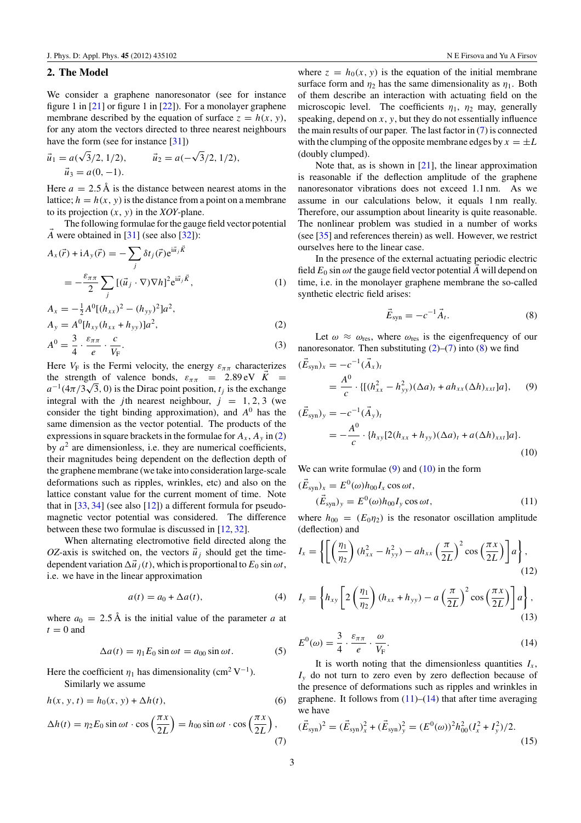## <span id="page-3-0"></span>**2. The Model**

We consider a graphene nanoresonator (see for instance figure 1 in  $[21]$  or figure 1 in  $[22]$ ). For a monolayer graphene membrane described by the equation of surface  $z = h(x, y)$ , for any atom the vectors directed to three nearest neighbours have the form (see for instance [\[31\]](#page-7-0)) √

$$
\vec{u}_1 = a(\sqrt{3}/2, 1/2), \qquad \vec{u}_2 = a(-\sqrt{3}/2, 1/2),
$$
  

$$
\vec{u}_3 = a(0, -1).
$$

Here  $a = 2.5 \text{ Å}$  is the distance between nearest atoms in the lattice;  $h = h(x, y)$  is the distance from a point on a membrane to its projection  $(x, y)$  in the *XOY*-plane.

The following formulae for the gauge field vector potential  $\vec{A}$  were obtained in [\[31\]](#page-7-0) (see also [\[32\]](#page-7-0)):

$$
A_x(\vec{r}) + iA_y(\vec{r}) = -\sum_j \delta t_j(\vec{r}) e^{i\vec{u}_j \vec{K}}
$$
  
= 
$$
-\frac{\varepsilon_{\pi\pi}}{2} \sum_j [(\vec{u}_j \cdot \nabla) \nabla h]^2 e^{i\vec{u}_j \vec{K}},
$$
 (1)

$$
A_x = -\frac{1}{2}A^0[(h_{xx})^2 - (h_{yy})^2]a^2,
$$
  
\n
$$
A_y = A^0[h_{xy}(h_{xx} + h_{yy})]a^2,
$$
\n(2)

$$
A^{0} = \frac{3}{4} \cdot \frac{\varepsilon_{\pi\pi}}{e} \cdot \frac{c}{V_{F}}.
$$
 (3)

Here  $V_F$  is the Fermi velocity, the energy  $\varepsilon_{\pi\pi}$  characterizes the strength of valence bonds,  $\varepsilon_{\pi\pi}$  = 2.89 eV  $\vec{K}$  = the strength of valence bonds,  $\varepsilon_{\pi\pi}$  = 2.89 eV K =  $a^{-1}(4\pi/3\sqrt{3}, 0)$  is the Dirac point position,  $t_j$  is the exchange integral with the *j*th nearest neighbour,  $j = 1, 2, 3$  (we consider the tight binding approximation), and *A*<sup>0</sup> has the same dimension as the vector potential. The products of the expressions in square brackets in the formulae for  $A_x$ ,  $A_y$  in (2) by  $a^2$  are dimensionless, i.e. they are numerical coefficients, their magnitudes being dependent on the deflection depth of the graphene membrane (we take into consideration large-scale deformations such as ripples, wrinkles, etc) and also on the lattice constant value for the current moment of time. Note that in  $[33, 34]$  $[33, 34]$  $[33, 34]$  (see also  $[12]$ ) a different formula for pseudomagnetic vector potential was considered. The difference between these two formulae is discussed in [\[12,](#page-6-0) [32\]](#page-7-0).

When alternating electromotive field directed along the *OZ*-axis is switched on, the vectors  $\vec{u}_j$  should get the timedependent variation  $\Delta \vec{u}_j(t)$ , which is proportional to  $E_0 \sin \omega t$ , i.e. we have in the linear approximation

$$
a(t) = a_0 + \Delta a(t), \tag{4}
$$

where  $a_0 = 2.5 \text{ Å}$  is the initial value of the parameter *a* at  $t = 0$  and

$$
\Delta a(t) = \eta_1 E_0 \sin \omega t = a_{00} \sin \omega t. \tag{5}
$$

Here the coefficient  $\eta_1$  has dimensionality (cm<sup>2</sup> V<sup>-1</sup>). Similarly we assume

$$
h(x, y, t) = h_0(x, y) + \Delta h(t),
$$
\n(6)

$$
\Delta h(t) = \eta_2 E_0 \sin \omega t \cdot \cos \left(\frac{\pi x}{2L}\right) = h_{00} \sin \omega t \cdot \cos \left(\frac{\pi x}{2L}\right),\tag{7}
$$

where  $z = h_0(x, y)$  is the equation of the initial membrane surface form and  $\eta_2$  has the same dimensionality as  $\eta_1$ . Both of them describe an interaction with actuating field on the microscopic level. The coefficients  $\eta_1$ ,  $\eta_2$  may, generally speaking, depend on *x*, *y*, but they do not essentially influence the main results of our paper. The last factor in (7) is connected with the clumping of the opposite membrane edges by  $x = \pm L$ (doubly clumped).

Note that, as is shown in  $[21]$ , the linear approximation is reasonable if the deflection amplitude of the graphene nanoresonator vibrations does not exceed 1.1 nm. As we assume in our calculations below, it equals 1 nm really. Therefore, our assumption about linearity is quite reasonable. The nonlinear problem was studied in a number of works (see [\[35\]](#page-7-0) and references therein) as well. However, we restrict ourselves here to the linear case.

In the presence of the external actuating periodic electric field  $E_0$  sin  $\omega t$  the gauge field vector potential  $\vec{A}$  will depend on time, i.e. in the monolayer graphene membrane the so-called synthetic electric field arises:

$$
\vec{E}_{syn} = -c^{-1}\vec{A}_t. \tag{8}
$$

Let  $\omega \approx \omega_{\text{res}}$ , where  $\omega_{\text{res}}$  is the eigenfrequency of our nanoresonator. Then substituting  $(2)$ – $(7)$  into  $(8)$  we find

$$
(\vec{E}_{syn})_x = -c^{-1}(\vec{A}_x)_t
$$
  
=  $\frac{A^0}{c} \cdot \{[(h_{xx}^2 - h_{yy}^2)(\Delta a)_t + ah_{xx}(\Delta h)_{xxt}]a\},$  (9)

$$
(\vec{E}_{syn})_y = -c^{-1}(\vec{A}_y)_t
$$
  
=  $-\frac{A^0}{c} \cdot \{h_{xy}[2(h_{xx} + h_{yy})(\Delta a)_t + a(\Delta h)_{xxt}]a\}.$  (10)

We can write formulae  $(9)$  and  $(10)$  in the form

$$
(\vec{E}_{syn})_x = E^0(\omega)h_{00}I_x \cos \omega t,
$$
  
\n
$$
(\vec{E}_{syn})_y = E^0(\omega)h_{00}I_y \cos \omega t,
$$
\n(11)

where  $h_{00} = (E_0 \eta_2)$  is the resonator oscillation amplitude (deflection) and

$$
I_x = \left\{ \left[ \left( \frac{\eta_1}{\eta_2} \right) (h_{xx}^2 - h_{yy}^2) - ah_{xx} \left( \frac{\pi}{2L} \right)^2 \cos \left( \frac{\pi x}{2L} \right) \right] a \right\},\tag{12}
$$

$$
I_{y} = \left\{ h_{xy} \left[ 2 \left( \frac{\eta_{1}}{\eta_{2}} \right) (h_{xx} + h_{yy}) - a \left( \frac{\pi}{2L} \right)^{2} \cos \left( \frac{\pi x}{2L} \right) \right] a \right\},\tag{13}
$$

$$
E^{0}(\omega) = \frac{3}{4} \cdot \frac{\varepsilon_{\pi\pi}}{e} \cdot \frac{\omega}{V_{F}}.
$$
\n(14)

It is worth noting that the dimensionless quantities  $I_x$ ,  $I<sub>y</sub>$  do not turn to zero even by zero deflection because of the presence of deformations such as ripples and wrinkles in graphene. It follows from  $(11)$ – $(14)$  that after time averaging we have

$$
(\vec{E}_{syn})^2 = (\vec{E}_{syn})_x^2 + (\vec{E}_{syn})_y^2 = (E^0(\omega))^2 h_{00}^2 (I_x^2 + I_y^2)/2.
$$
\n(15)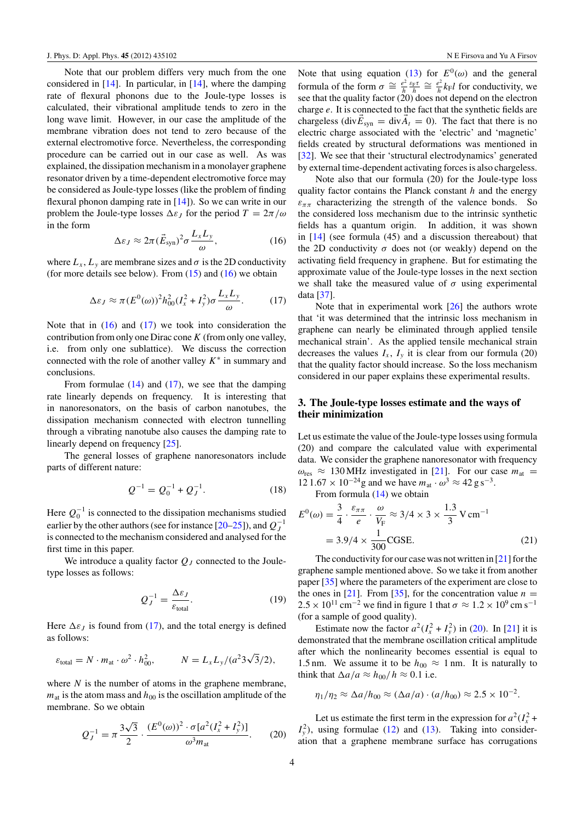<span id="page-4-0"></span>Note that our problem differs very much from the one considered in  $[14]$ . In particular, in  $[14]$ , where the damping rate of flexural phonons due to the Joule-type losses is calculated, their vibrational amplitude tends to zero in the long wave limit. However, in our case the amplitude of the membrane vibration does not tend to zero because of the external electromotive force. Nevertheless, the corresponding procedure can be carried out in our case as well. As was explained, the dissipation mechanism in a monolayer graphene resonator driven by a time-dependent electromotive force may be considered as Joule-type losses (like the problem of finding flexural phonon damping rate in [\[14\]](#page-6-0)). So we can write in our problem the Joule-type losses  $\Delta \varepsilon_I$  for the period  $T = 2\pi/\omega$ in the form

$$
\Delta \varepsilon_J \approx 2\pi (\vec{E}_{syn})^2 \sigma \frac{L_x L_y}{\omega},\tag{16}
$$

where  $L_x$ ,  $L_y$  are membrane sizes and  $\sigma$  is the 2D conductivity (for more details see below). From  $(15)$  and  $(16)$  we obtain

$$
\Delta \varepsilon_J \approx \pi (E^0(\omega))^2 h_{00}^2 (I_x^2 + I_y^2) \sigma \frac{L_x L_y}{\omega}.
$$
 (17)

Note that in  $(16)$  and  $(17)$  we took into consideration the contribution from only one Dirac cone*K* (from only one valley, i.e. from only one sublattice). We discuss the correction connected with the role of another valley *K*<sup>∗</sup> in summary and conclusions.

From formulae  $(14)$  and  $(17)$ , we see that the damping rate linearly depends on frequency. It is interesting that in nanoresonators, on the basis of carbon nanotubes, the dissipation mechanism connected with electron tunnelling through a vibrating nanotube also causes the damping rate to linearly depend on frequency [\[25\]](#page-6-0).

The general losses of graphene nanoresonators include parts of different nature:

$$
Q^{-1} = Q_0^{-1} + Q_J^{-1}.
$$
 (18)

Here  $Q_0^{-1}$  is connected to the dissipation mechanisms studied earlier by the other authors (see for instance [\[20–25\]](#page-6-0)), and  $Q_J^{-1}$ is connected to the mechanism considered and analysed for the first time in this paper.

We introduce a quality factor *QJ* connected to the Jouletype losses as follows:

$$
Q_J^{-1} = \frac{\Delta \varepsilon_J}{\varepsilon_{\text{total}}}.\tag{19}
$$

Here  $\Delta \varepsilon_I$  is found from (17), and the total energy is defined as follows:

$$
\varepsilon_{\text{total}} = N \cdot m_{\text{at}} \cdot \omega^2 \cdot h_{00}^2, \qquad N = L_x L_y / (a^2 3\sqrt{3}/2),
$$

where *N* is the number of atoms in the graphene membrane,  $m_{\text{at}}$  is the atom mass and  $h_{00}$  is the oscillation amplitude of the membrane. So we obtain

$$
Q_J^{-1} = \pi \frac{3\sqrt{3}}{2} \cdot \frac{(E^0(\omega))^2 \cdot \sigma[a^2(I_x^2 + I_y^2)]}{\omega^3 m_{\text{at}}}.
$$
 (20)

Note that using equation [\(13\)](#page-3-0) for  $E^0(\omega)$  and the general formula of the form  $\sigma \cong \frac{e^2}{h} \frac{\varepsilon_F \tau}{h} \cong \frac{e^2}{h} k_F l$  for conductivity, we see that the quality factor (20) does not depend on the electron charge *e*. It is connected to the fact that the synthetic fields are chargeless (div $\vec{E}_{syn} = \text{div}\vec{A}_t = 0$ ). The fact that there is no electric charge associated with the 'electric' and 'magnetic' fields created by structural deformations was mentioned in [\[32\]](#page-7-0). We see that their 'structural electrodynamics' generated by external time-dependent activating forces is also chargeless.

Note also that our formula (20) for the Joule-type loss quality factor contains the Planck constant *h* and the energy  $\varepsilon_{\pi\pi}$  characterizing the strength of the valence bonds. So the considered loss mechanism due to the intrinsic synthetic fields has a quantum origin. In addition, it was shown in [\[14\]](#page-6-0) (see formula (45) and a discussion thereabout) that the 2D conductivity  $\sigma$  does not (or weakly) depend on the activating field frequency in graphene. But for estimating the approximate value of the Joule-type losses in the next section we shall take the measured value of  $\sigma$  using experimental data [\[37\]](#page-7-0).

Note that in experimental work  $[26]$  the authors wrote that 'it was determined that the intrinsic loss mechanism in graphene can nearly be eliminated through applied tensile mechanical strain'. As the applied tensile mechanical strain decreases the values  $I_x$ ,  $I_y$  it is clear from our formula (20) that the quality factor should increase. So the loss mechanism considered in our paper explains these experimental results.

### **3. The Joule-type losses estimate and the ways of their minimization**

Let us estimate the value of the Joule-type losses using formula (20) and compare the calculated value with experimental data. We consider the graphene nanoresonator with frequency  $\omega_{\text{res}} \approx 130 \text{ MHz}$  investigated in [\[21\]](#page-6-0). For our case  $m_{\text{at}} =$  $12\,1.67 \times 10^{-24}$ g and we have  $m_{at} \cdot \omega^3 \approx 42$  g s<sup>-3</sup>.

From formula [\(14\)](#page-3-0) we obtain

$$
E^{0}(\omega) = \frac{3}{4} \cdot \frac{\varepsilon_{\pi\pi}}{e} \cdot \frac{\omega}{V_{F}} \approx 3/4 \times 3 \times \frac{1.3}{3} \text{ V cm}^{-1}
$$
  
= 3.9/4 ×  $\frac{1}{300}$  CGSE. (21)

The conductivity for our case was not written in [\[21\]](#page-6-0) for the graphene sample mentioned above. So we take it from another paper [\[35\]](#page-7-0) where the parameters of the experiment are close to the ones in [\[21\]](#page-6-0). From [\[35\]](#page-7-0), for the concentration value  $n =$  $2.5 \times 10^{11}$  cm<sup>-2</sup> we find in figure 1 that  $\sigma \approx 1.2 \times 10^9$  cm s<sup>-1</sup> (for a sample of good quality).

Estimate now the factor  $a^2(I_x^2 + I_y^2)$  in (20). In [\[21\]](#page-6-0) it is demonstrated that the membrane oscillation critical amplitude after which the nonlinearity becomes essential is equal to 1.5 nm. We assume it to be  $h_{00} \approx 1$  nm. It is naturally to think that  $\Delta a/a \approx h_{00}/h \approx 0.1$  i.e.

$$
\eta_1/\eta_2 \approx \Delta a/h_{00} \approx (\Delta a/a) \cdot (a/h_{00}) \approx 2.5 \times 10^{-2}.
$$

Let us estimate the first term in the expression for  $a^2(I_x^2 + I_y^2)$  $I_y^2$ ), using formulae [\(12\)](#page-3-0) and [\(13\)](#page-3-0). Taking into consideration that a graphene membrane surface has corrugations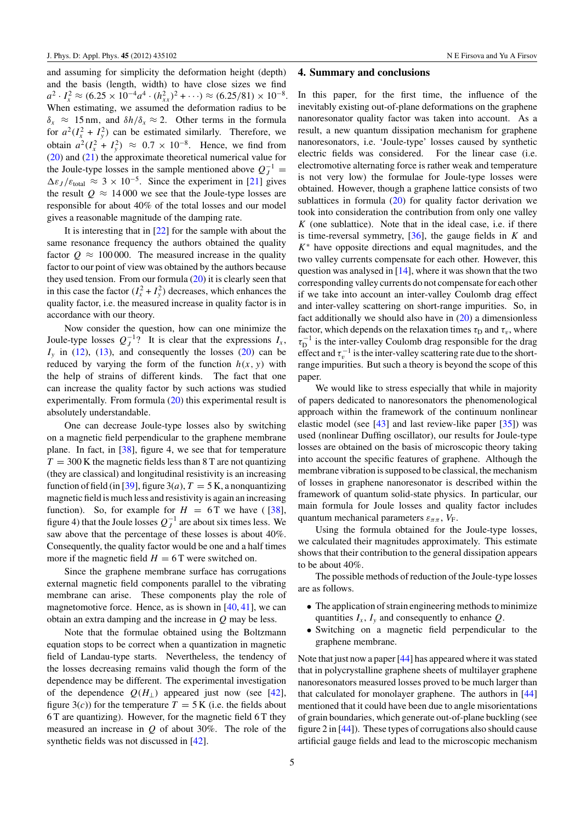and assuming for simplicity the deformation height (depth) and the basis (length, width) to have close sizes we find  $a^2 \cdot I_x^2 \approx (6.25 \times 10^{-4} a^4 \cdot (h_{xx}^2)^2 + \cdots) \approx (6.25/81) \times 10^{-8}.$ When estimating, we assumed the deformation radius to be  $\delta_x \approx 15$  nm, and  $\delta h/\delta_x \approx 2$ . Other terms in the formula for  $a^2(I_x^2 + I_y^2)$  can be estimated similarly. Therefore, we obtain  $a^2(I_x^2 + I_y^2)$  ≈ 0.7 × 10<sup>-8</sup>. Hence, we find from [\(20\)](#page-4-0) and [\(21\)](#page-4-0) the approximate theoretical numerical value for the Joule-type losses in the sample mentioned above  $Q_J^{-1}$  =  $\Delta \varepsilon_J / \varepsilon_{\text{total}} \approx 3 \times 10^{-5}$ . Since the experiment in [\[21\]](#page-6-0) gives the result  $Q \approx 14000$  we see that the Joule-type losses are responsible for about 40% of the total losses and our model gives a reasonable magnitude of the damping rate.

It is interesting that in [\[22\]](#page-6-0) for the sample with about the same resonance frequency the authors obtained the quality factor  $Q \approx 100000$ . The measured increase in the quality factor to our point of view was obtained by the authors because they used tension. From our formula [\(20\)](#page-4-0) it is clearly seen that in this case the factor  $(I_x^2 + I_y^2)$  decreases, which enhances the quality factor, i.e. the measured increase in quality factor is in accordance with our theory.

Now consider the question, how can one minimize the Joule-type losses  $Q_J^{-1}$ ? It is clear that the expressions  $I_x$ ,  $I<sub>y</sub>$  in [\(12\)](#page-3-0), [\(13\)](#page-3-0), and consequently the losses [\(20\)](#page-4-0) can be reduced by varying the form of the function  $h(x, y)$  with the help of strains of different kinds. The fact that one can increase the quality factor by such actions was studied experimentally. From formula [\(20\)](#page-4-0) this experimental result is absolutely understandable.

One can decrease Joule-type losses also by switching on a magnetic field perpendicular to the graphene membrane plane. In fact, in [\[38\]](#page-7-0), figure 4, we see that for temperature  $T = 300$  K the magnetic fields less than 8 T are not quantizing (they are classical) and longitudinal resistivity is an increasing function of field (in [\[39\]](#page-7-0), figure 3(*a*),  $T = 5$  K, a nonquantizing magnetic field is much less and resistivity is again an increasing function). So, for example for  $H = 6$  T we have ([\[38\]](#page-7-0), figure 4) that the Joule losses  $Q_J^{-1}$  are about six times less. We saw above that the percentage of these losses is about 40%. Consequently, the quality factor would be one and a half times more if the magnetic field  $H = 6$  T were switched on.

Since the graphene membrane surface has corrugations external magnetic field components parallel to the vibrating membrane can arise. These components play the role of magnetomotive force. Hence, as is shown in [\[40,](#page-7-0) [41\]](#page-7-0), we can obtain an extra damping and the increase in *Q* may be less.

Note that the formulae obtained using the Boltzmann equation stops to be correct when a quantization in magnetic field of Landau-type starts. Nevertheless, the tendency of the losses decreasing remains valid though the form of the dependence may be different. The experimental investigation of the dependence  $Q(H_{\perp})$  appeared just now (see [\[42\]](#page-7-0), figure  $3(c)$ ) for the temperature  $T = 5$  K (i.e. the fields about 6 T are quantizing). However, for the magnetic field 6 T they measured an increase in *Q* of about 30%. The role of the synthetic fields was not discussed in [\[42\]](#page-7-0).

#### **4. Summary and conclusions**

In this paper, for the first time, the influence of the inevitably existing out-of-plane deformations on the graphene nanoresonator quality factor was taken into account. As a result, a new quantum dissipation mechanism for graphene nanoresonators, i.e. 'Joule-type' losses caused by synthetic electric fields was considered. For the linear case (i.e. electromotive alternating force is rather weak and temperature is not very low) the formulae for Joule-type losses were obtained. However, though a graphene lattice consists of two sublattices in formula  $(20)$  for quality factor derivation we took into consideration the contribution from only one valley *K* (one sublattice). Note that in the ideal case, i.e. if there is time-reversal symmetry, [\[36\]](#page-7-0), the gauge fields in *K* and *K*<sup>∗</sup> have opposite directions and equal magnitudes, and the two valley currents compensate for each other. However, this question was analysed in  $[14]$ , where it was shown that the two corresponding valley currents do not compensate for each other if we take into account an inter-valley Coulomb drag effect and inter-valley scattering on short-range impurities. So, in fact additionally we should also have in  $(20)$  a dimensionless factor, which depends on the relaxation times  $\tau_D$  and  $\tau_v$ , where  $\tau_D^{-1}$  is the inter-valley Coulomb drag responsible for the drag effect and  $\tau_{v}^{-1}$  is the inter-valley scattering rate due to the shortrange impurities. But such a theory is beyond the scope of this paper.

We would like to stress especially that while in majority of papers dedicated to nanoresonators the phenomenological approach within the framework of the continuum nonlinear elastic model (see [\[43\]](#page-7-0) and last review-like paper [\[35\]](#page-7-0)) was used (nonlinear Duffing oscillator), our results for Joule-type losses are obtained on the basis of microscopic theory taking into account the specific features of graphene. Although the membrane vibration is supposed to be classical, the mechanism of losses in graphene nanoresonator is described within the framework of quantum solid-state physics. In particular, our main formula for Joule losses and quality factor includes quantum mechanical parameters  $\varepsilon_{\pi\pi}$ ,  $V_F$ .

Using the formula obtained for the Joule-type losses, we calculated their magnitudes approximately. This estimate shows that their contribution to the general dissipation appears to be about 40%.

The possible methods of reduction of the Joule-type losses are as follows.

- The application of strain engineering methods to minimize quantities  $I_x$ ,  $I_y$  and consequently to enhance  $Q$ .
- Switching on a magnetic field perpendicular to the graphene membrane.

Note that just now a paper [\[44\]](#page-7-0) has appeared where it was stated that in polycrystalline graphene sheets of multilayer graphene nanoresonators measured losses proved to be much larger than that calculated for monolayer graphene. The authors in [\[44\]](#page-7-0) mentioned that it could have been due to angle misorientations of grain boundaries, which generate out-of-plane buckling (see figure 2 in [\[44\]](#page-7-0)). These types of corrugations also should cause artificial gauge fields and lead to the microscopic mechanism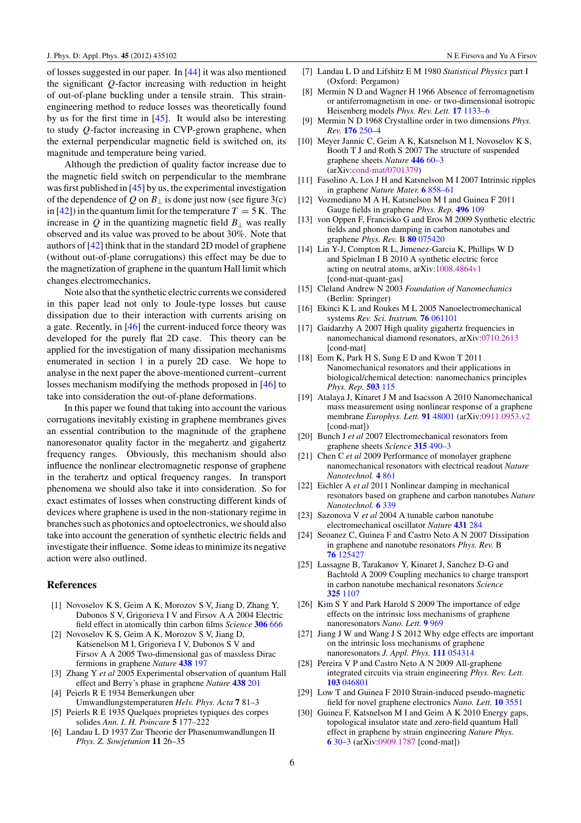<span id="page-6-0"></span>of losses suggested in our paper. In [\[44\]](#page-7-0) it was also mentioned the significant *Q*-factor increasing with reduction in height of out-of-plane buckling under a tensile strain. This strainengineering method to reduce losses was theoretically found by us for the first time in [\[45\]](#page-7-0). It would also be interesting to study *Q*-factor increasing in CVP-grown graphene, when the external perpendicular magnetic field is switched on, its magnitude and temperature being varied.

Although the prediction of quality factor increase due to the magnetic field switch on perpendicular to the membrane was first published in [\[45\]](#page-7-0) by us, the experimental investigation of the dependence of  $Q$  on  $B_{\perp}$  is done just now (see figure 3(c) in  $[42]$ ) in the quantum limit for the temperature  $T = 5$  K. The increase in  $Q$  in the quantizing magnetic field  $B_{\perp}$  was really observed and its value was proved to be about 30%. Note that authors of [\[42\]](#page-7-0) think that in the standard 2D model of graphene (without out-of-plane corrugations) this effect may be due to the magnetization of graphene in the quantum Hall limit which changes electromechanics.

Note also that the synthetic electric currents we considered in this paper lead not only to Joule-type losses but cause dissipation due to their interaction with currents arising on a gate. Recently, in [\[46\]](#page-7-0) the current-induced force theory was developed for the purely flat 2D case. This theory can be applied for the investigation of many dissipation mechanisms enumerated in section [1](#page-1-0) in a purely 2D case. We hope to analyse in the next paper the above-mentioned current–current losses mechanism modifying the methods proposed in [\[46\]](#page-7-0) to take into consideration the out-of-plane deformations.

In this paper we found that taking into account the various corrugations inevitably existing in graphene membranes gives an essential contribution to the magnitude of the graphene nanoresonator quality factor in the megahertz and gigahertz frequency ranges. Obviously, this mechanism should also influence the nonlinear electromagnetic response of graphene in the terahertz and optical frequency ranges. In transport phenomena we should also take it into consideration. So for exact estimates of losses when constructing different kinds of devices where graphene is used in the non-stationary regime in branches such as photonics and optoelectronics, we should also take into account the generation of synthetic electric fields and investigate their influence. Some ideas to minimize its negative action were also outlined.

# **References**

- [1] Novoselov K S, Geim A K, Morozov S V, Jiang D, Zhang Y, Dubonos S V, Grigorieva I V and Firsov A A 2004 Electric field effect in atomically thin carbon films *Science* **[306](http://dx.doi.org/10.1126/science.1102896)** 666
- [2] Novoselov K S, Geim A K, Morozov S V, Jiang D, Katsenelson M I, Grigorieva I V, Dubonos S V and Firsov A A 2005 Two-dimensional gas of massless Dirac fermions in graphene *Nature* **[438](http://dx.doi.org/10.1038/nature04233)** 197
- [3] Zhang Y *et al* 2005 Experimental observation of quantum Hall effect and Berry's phase in graphene *Nature* **[438](http://dx.doi.org/10.1038/nature04235)** 201
- [4] Peierls R E 1934 Bemerkungen uber Umwandlungstemperaturen *Helv. Phys. Acta* **7** 81–3
- [5] Peierls R E 1935 Quelques proprietes typiques des corpes solides *Ann. I. H. Poincare* **5** 177–222
- [6] Landau L D 1937 Zur Theorie der Phasenumwandlungen II *Phys. Z. Sowjetunion* **11** 26–35
- [7] Landau L D and Lifshitz E M 1980 *Statistical Physics* part I (Oxford: Pergamon)
- [8] Mermin N D and Wagner H 1966 Absence of ferromagnetism or antiferromagnetism in one- or two-dimensional isotropic Heisenberg models *Phys. Rev. Lett.* **17** [1133–6](http://dx.doi.org/10.1103/PhysRevLett.17.1133)
- [9] Mermin N D 1968 Crystalline order in two dimensions *Phys. Rev.* **176** [250–4](http://dx.doi.org/10.1103/PhysRev.176.250)
- [10] Meyer Jannic C, Geim A K, Katsnelson M I, Novoselov K S, Booth T J and Roth S 2007 The structure of suspended graphene sheets *Nature* **446** [60–3](http://dx.doi.org/10.1038/nature05545) (arXiv[:cond-mat/0701379\)](http://arxiv.org/abs/cond-mat/0701379)
- [11] Fasolino A, Los J H and Katsnelson M I 2007 Intrinsic ripples in graphene *Nature Mater.* **6** [858–61](http://dx.doi.org/10.1038/nmat2011)
- [12] Vozmediano M A H, Katsnelson M I and Guinea F 2011 Gauge fields in graphene *Phys. Rep.* **[496](http://dx.doi.org/10.1016/j.physrep.2010.07.003)** 109
- [13] von Oppen F, Francisko G and Eros M 2009 Synthetic electric fields and phonon damping in carbon nanotubes and graphene *Phys. Rev.* B **80** [075420](http://dx.doi.org/10.1103/PhysRevB.80.075420)
- [14] Lin Y-J, Compton R L, Jimenez-Garcia K, Phillips W D and Spielman I B 2010 A synthetic electric force acting on neutral atoms, arXiv[:1008.4864v1](http://arxiv.org/abs/1008.4864v1) [cond-mat-quant-gas]
- [15] Cleland Andrew N 2003 *Foundation of Nanomechanics* (Berlin: Springer)
- [16] Ekinci K L and Roukes M L 2005 Nanoelectromechanical systems *Rev. Sci. Instrum.* **76** [061101](http://dx.doi.org/10.1063/1.1927327)
- [17] Gaidarzhy A 2007 High quality gigahertz frequencies in nanomechanical diamond resonators, arXiv[:0710.2613](http://arxiv.org/abs/0710.2613) [cond-mat]
- [18] Eom K, Park H S, Sung E D and Kwon T 2011 Nanomechanical resonators and their applications in biological/chemical detection: nanomechanics principles *Phys. Rep.* **[503](http://dx.doi.org/10.1016/j.physrep.2011.03.002)** 115
- [19] Atalaya J, Kinaret J M and Isacsson A 2010 Nanomechanical mass measurement using nonlinear response of a graphene membrane *Europhys. Lett.* **91** [48001](http://dx.doi.org/10.1209/0295-5075/91/48001) (arXiv[:0911.0953.v2](http://arxiv.org/abs/0911.0953.v2) [cond-mat])
- [20] Bunch J *et al* 2007 Electromechanical resonators from graphene sheets *Science* **315** [490–3](http://dx.doi.org/10.1126/science.1136836)
- [21] Chen C *et al* 2009 Performance of monolayer graphene nanomechanical resonators with electrical readout *Nature Nanotechnol.* **4** [861](http://dx.doi.org/10.1038/nnano.2009.267)
- [22] Eichler A *et al* 2011 Nonlinear damping in mechanical resonators based on graphene and carbon nanotubes *Nature Nanotechnol.* **6** [339](http://dx.doi.org/10.1038/nnano.2011.71)
- [23] Sazonova V *et al* 2004 A tunable carbon nanotube electromechanical oscillator *Nature* **[431](http://dx.doi.org/10.1038/nature02905)** 284
- [24] Seoanez C, Guinea F and Castro Neto A N 2007 Dissipation in graphene and nanotube resonators *Phys. Rev.* B **76** [125427](http://dx.doi.org/10.1103/PhysRevB.76.125427)
- [25] Lassagne B, Tarakanov Y, Kinaret J, Sanchez D-G and Bachtold A 2009 Coupling mechanics to charge transport in carbon nanotube mechanical resonators *Science* **325** [1107](http://dx.doi.org/10.1126/science.1174290)
- [26] Kim S Y and Park Harold S 2009 The importance of edge effects on the intrinsic loss mechanisms of graphene nanoresonators *Nano. Lett.* **9** [969](http://dx.doi.org/10.1021/nl802853e)
- [27] Jiang J W and Wang J S 2012 Why edge effects are important on the intrinsic loss mechanisms of graphene nanoresonators *J. Appl. Phys.* **111** [054314](http://dx.doi.org/10.1063/1.3691958)
- [28] Pereira V P and Castro Neto A N 2009 All-graphene integrated circuits via strain engineering *Phys. Rev. Lett.* **103** [046801](http://dx.doi.org/10.1103/PhysRevLett.103.046801)
- [29] Low T and Guinea F 2010 Strain-induced pseudo-magnetic field for novel graphene electronics *Nano. Lett.* **10** [3551](http://dx.doi.org/10.1021/nl1018063)
- [30] Guinea F, Katsnelson M I and Geim A K 2010 Energy gaps, topological insulator state and zero-field quantum Hall effect in graphene by strain engineering *Nature Phys.* **6** [30–3](http://dx.doi.org/10.1038/nphys1420) (arXiv[:0909.1787](http://arxiv.org/abs/0909.1787) [cond-mat])